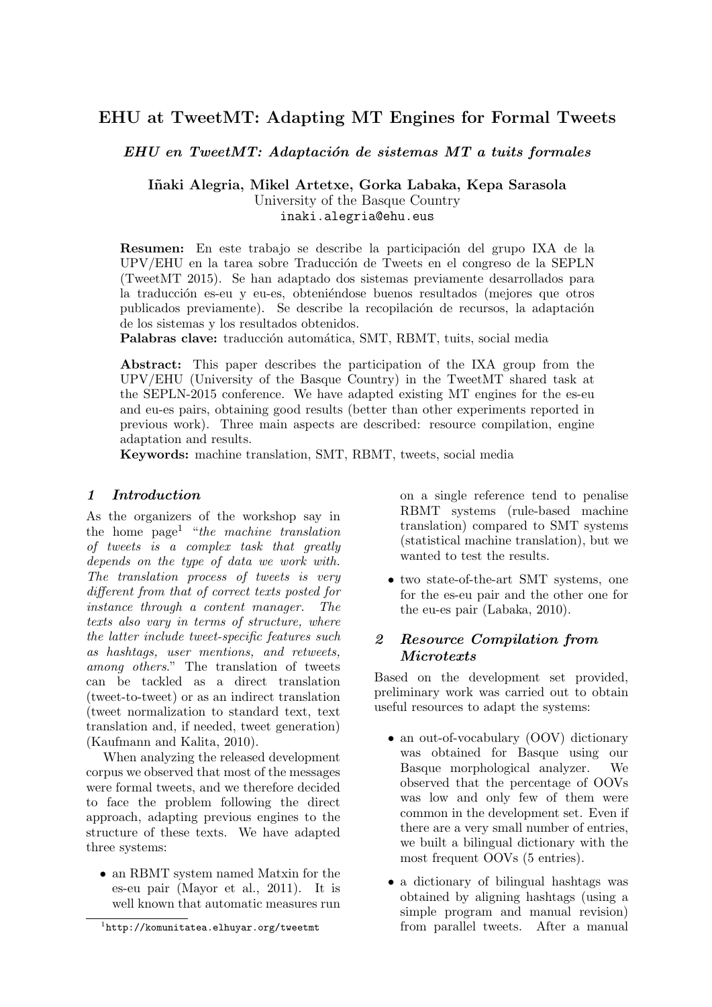# EHU at TweetMT: Adapting MT Engines for Formal Tweets

 $EHU$  en Tweet $MT:$  Adaptación de sistemas MT a tuits formales

Iñaki Alegria, Mikel Artetxe, Gorka Labaka, Kepa Sarasola University of the Basque Country inaki.alegria@ehu.eus

Resumen: En este trabajo se describe la participación del grupo IXA de la UPV/EHU en la tarea sobre Traducci´on de Tweets en el congreso de la SEPLN (TweetMT 2015). Se han adaptado dos sistemas previamente desarrollados para la traducción es-eu y eu-es, obteniéndose buenos resultados (mejores que otros publicados previamente). Se describe la recopilación de recursos, la adaptación de los sistemas y los resultados obtenidos.

Palabras clave: traducción automática, SMT, RBMT, tuits, social media

Abstract: This paper describes the participation of the IXA group from the UPV/EHU (University of the Basque Country) in the TweetMT shared task at the SEPLN-2015 conference. We have adapted existing MT engines for the es-eu and eu-es pairs, obtaining good results (better than other experiments reported in previous work). Three main aspects are described: resource compilation, engine adaptation and results.

Keywords: machine translation, SMT, RBMT, tweets, social media

#### 1 Introduction

As the organizers of the workshop say in the home page<sup>1</sup> "the machine translation of tweets is a complex task that greatly depends on the type of data we work with. The translation process of tweets is very different from that of correct texts posted for instance through a content manager. The texts also vary in terms of structure, where the latter include tweet-specific features such as hashtags, user mentions, and retweets, among others." The translation of tweets can be tackled as a direct translation (tweet-to-tweet) or as an indirect translation (tweet normalization to standard text, text translation and, if needed, tweet generation) (Kaufmann and Kalita, 2010).

When analyzing the released development corpus we observed that most of the messages were formal tweets, and we therefore decided to face the problem following the direct approach, adapting previous engines to the structure of these texts. We have adapted three systems:

 $\bullet\,$ an RBMT system named Matxin for the es-eu pair (Mayor et al., 2011). It is well known that automatic measures run on a single reference tend to penalise RBMT systems (rule-based machine translation) compared to SMT systems (statistical machine translation), but we wanted to test the results.

• two state-of-the-art SMT systems, one for the es-eu pair and the other one for the eu-es pair (Labaka, 2010).

### 2 Resource Compilation from Microtexts

Based on the development set provided, preliminary work was carried out to obtain useful resources to adapt the systems:

- an out-of-vocabulary (OOV) dictionary was obtained for Basque using our Basque morphological analyzer. We observed that the percentage of OOVs was low and only few of them were common in the development set. Even if there are a very small number of entries, we built a bilingual dictionary with the most frequent OOVs (5 entries).
- a dictionary of bilingual hashtags was obtained by aligning hashtags (using a simple program and manual revision) from parallel tweets. After a manual

<sup>1</sup> http://komunitatea.elhuyar.org/tweetmt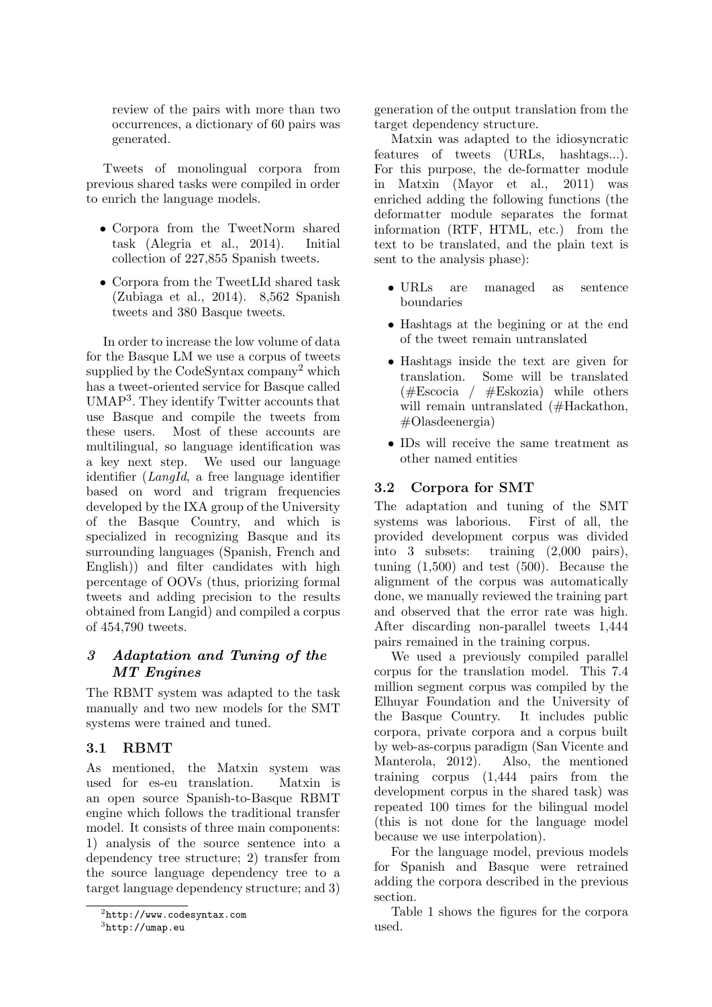review of the pairs with more than two occurrences, a dictionary of 60 pairs was generated.

Tweets of monolingual corpora from previous shared tasks were compiled in order to enrich the language models.

- Corpora from the TweetNorm shared task (Alegria et al., 2014). Initial collection of 227,855 Spanish tweets.
- Corpora from the TweetLId shared task (Zubiaga et al., 2014). 8,562 Spanish tweets and 380 Basque tweets.

In order to increase the low volume of data for the Basque LM we use a corpus of tweets supplied by the CodeSyntax company<sup>2</sup> which has a tweet-oriented service for Basque called UMAP<sup>3</sup> . They identify Twitter accounts that use Basque and compile the tweets from these users. Most of these accounts are multilingual, so language identification was a key next step. We used our language identifier (LangId, a free language identifier based on word and trigram frequencies developed by the IXA group of the University of the Basque Country, and which is specialized in recognizing Basque and its surrounding languages (Spanish, French and English)) and filter candidates with high percentage of OOVs (thus, priorizing formal tweets and adding precision to the results obtained from Langid) and compiled a corpus of 454,790 tweets.

## 3 Adaptation and Tuning of the MT Engines

The RBMT system was adapted to the task manually and two new models for the SMT systems were trained and tuned.

## 3.1 RBMT

As mentioned, the Matxin system was used for es-eu translation. Matxin is an open source Spanish-to-Basque RBMT engine which follows the traditional transfer model. It consists of three main components: 1) analysis of the source sentence into a dependency tree structure; 2) transfer from the source language dependency tree to a target language dependency structure; and 3) generation of the output translation from the target dependency structure.

Matxin was adapted to the idiosyncratic features of tweets (URLs, hashtags...). For this purpose, the de-formatter module in Matxin (Mayor et al., 2011) was enriched adding the following functions (the deformatter module separates the format information (RTF, HTML, etc.) from the text to be translated, and the plain text is sent to the analysis phase):

- URLs are managed as sentence boundaries
- Hashtags at the begining or at the end of the tweet remain untranslated
- Hashtags inside the text are given for translation. Some will be translated (#Escocia / #Eskozia) while others will remain untranslated (#Hackathon, #Olasdeenergia)
- IDs will receive the same treatment as other named entities

#### 3.2 Corpora for SMT

The adaptation and tuning of the SMT systems was laborious. First of all, the provided development corpus was divided into 3 subsets: training (2,000 pairs), tuning (1,500) and test (500). Because the alignment of the corpus was automatically done, we manually reviewed the training part and observed that the error rate was high. After discarding non-parallel tweets 1,444 pairs remained in the training corpus.

We used a previously compiled parallel corpus for the translation model. This 7.4 million segment corpus was compiled by the Elhuyar Foundation and the University of the Basque Country. It includes public corpora, private corpora and a corpus built by web-as-corpus paradigm (San Vicente and Manterola, 2012). Also, the mentioned training corpus (1,444 pairs from the development corpus in the shared task) was repeated 100 times for the bilingual model (this is not done for the language model because we use interpolation).

For the language model, previous models for Spanish and Basque were retrained adding the corpora described in the previous section.

Table 1 shows the figures for the corpora used.

 $^{2}$ http://www.codesyntax.com

 ${}^{3}$ http://umap.eu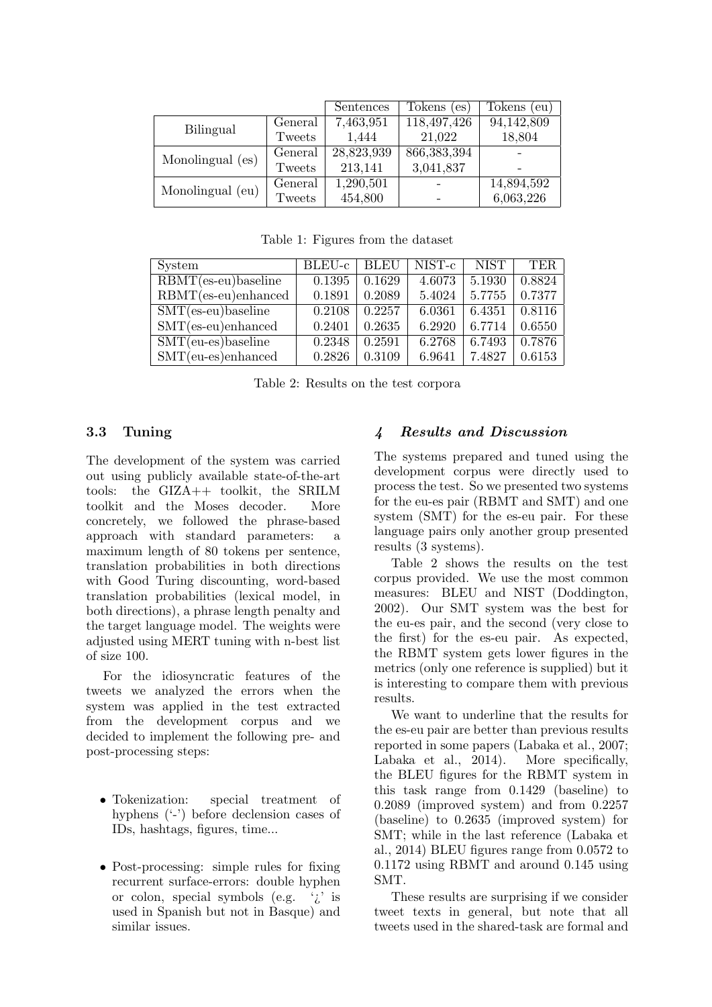|                  |         | Sentences  | Tokens<br>(e <sub>S</sub> ) | Tokens<br>eu) |
|------------------|---------|------------|-----------------------------|---------------|
|                  | General | 7,463,951  | $\overline{118,497,426}$    | 94,142,809    |
| Bilingual        | Tweets  | 1,444      | 21,022                      | 18,804        |
| Monolingual (es) | General | 28,823,939 | 866, 383, 394               |               |
|                  | Tweets  | 213,141    | 3,041,837                   |               |
| Monolingual (eu) | General | 1,290,501  |                             | 14,894,592    |
|                  | Tweets  | 454,800    |                             | 6,063,226     |

Table 1: Figures from the dataset

| System                                         | BLEU-c | BLEU               | $NIST-c$ | <b>NIST</b>        | <b>TER</b> |
|------------------------------------------------|--------|--------------------|----------|--------------------|------------|
| $\overline{\text{RBMT}}$ (es-eu)baseline       | 0.1395 | 0.1629             | 4.6073   | 5.1930             | 0.8824     |
| $RBMT(es-eu)enhanced$                          | 0.1891 | 0.2089             | 5.4024   | 5.7755             | 0.7377     |
| $SMT($ es-eu)baseline                          | 0.2108 | $\mid 0.2257 \mid$ | 6.0361   | $\mid 6.4351 \mid$ | 0.8116     |
| $SMT($ es-eu $)$ enhanced                      | 0.2401 | 0.2635             | 6.2920   | 6.7714             | 0.6550     |
| $\overline{\text{SMT}(eu\text{-}es)}$ baseline | 0.2348 | 0.2591             | 6.2768   | 6.7493             | 0.7876     |
| $SMT(eu-es)enhanced$                           | 0.2826 | 0.3109             | 6.9641   | 7.4827             | 0.6153     |

Table 2: Results on the test corpora

#### 3.3 Tuning

The development of the system was carried out using publicly available state-of-the-art tools: the GIZA++ toolkit, the SRILM toolkit and the Moses decoder. More concretely, we followed the phrase-based approach with standard parameters: a maximum length of 80 tokens per sentence, translation probabilities in both directions with Good Turing discounting, word-based translation probabilities (lexical model, in both directions), a phrase length penalty and the target language model. The weights were adjusted using MERT tuning with n-best list of size 100.

For the idiosyncratic features of the tweets we analyzed the errors when the system was applied in the test extracted from the development corpus and we decided to implement the following pre- and post-processing steps:

- Tokenization: special treatment of hyphens ('-') before declension cases of IDs, hashtags, figures, time...
- Post-processing: simple rules for fixing recurrent surface-errors: double hyphen or colon, special symbols (e.g. '¿' is used in Spanish but not in Basque) and similar issues.

#### 4 Results and Discussion

The systems prepared and tuned using the development corpus were directly used to process the test. So we presented two systems for the eu-es pair (RBMT and SMT) and one system (SMT) for the es-eu pair. For these language pairs only another group presented results (3 systems).

Table 2 shows the results on the test corpus provided. We use the most common measures: BLEU and NIST (Doddington, 2002). Our SMT system was the best for the eu-es pair, and the second (very close to the first) for the es-eu pair. As expected, the RBMT system gets lower figures in the metrics (only one reference is supplied) but it is interesting to compare them with previous results.

We want to underline that the results for the es-eu pair are better than previous results reported in some papers (Labaka et al., 2007; Labaka et al., 2014). More specifically, the BLEU figures for the RBMT system in this task range from 0.1429 (baseline) to 0.2089 (improved system) and from 0.2257 (baseline) to 0.2635 (improved system) for SMT; while in the last reference (Labaka et al., 2014) BLEU figures range from 0.0572 to 0.1172 using RBMT and around 0.145 using SMT.

These results are surprising if we consider tweet texts in general, but note that all tweets used in the shared-task are formal and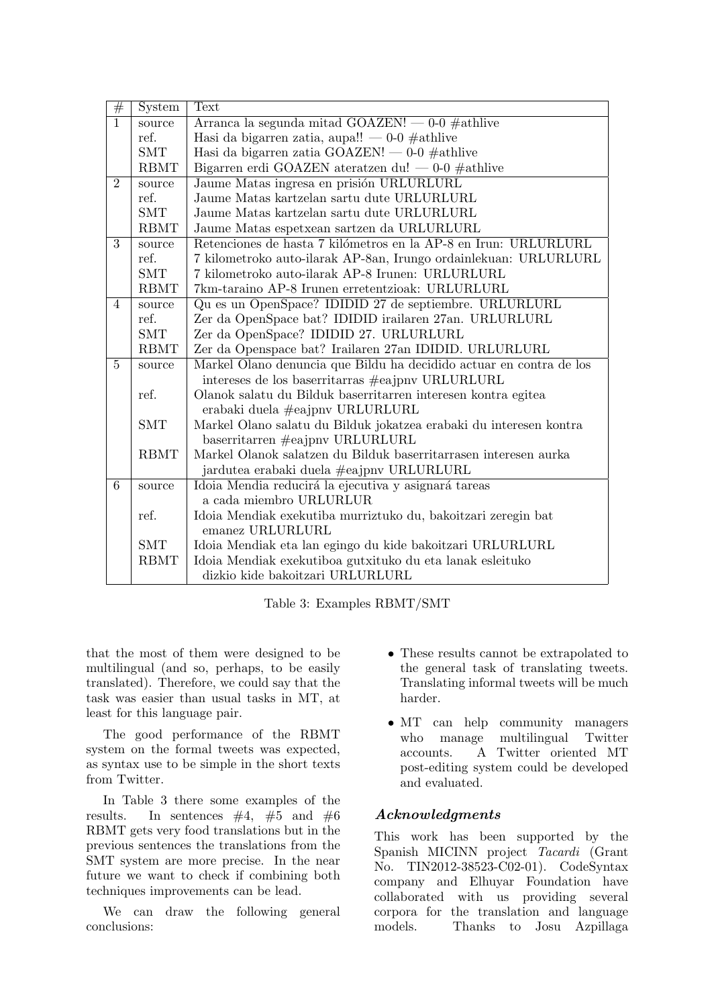| #              | System      | Text                                                                |
|----------------|-------------|---------------------------------------------------------------------|
| $\overline{1}$ | source      | Arranca la segunda mitad GOAZEN! $-$ 0-0 $\#$ athlive               |
|                | ref.        | Hasi da bigarren zatia, aupa!! — 0-0 $\#$ athlive                   |
|                | <b>SMT</b>  | Hasi da bigarren zatia GOAZEN! — 0-0 #athlive                       |
|                | <b>RBMT</b> | Bigarren erdi GOAZEN ateratzen du! — 0-0 #athlive                   |
| $\overline{2}$ | source      | Jaume Matas ingresa en prisión URLURLURL                            |
|                | ref.        | Jaume Matas kartzelan sartu dute URLURLURL                          |
|                | <b>SMT</b>  | Jaume Matas kartzelan sartu dute URLURLURL                          |
|                | <b>RBMT</b> | Jaume Matas espetxean sartzen da URLURLURL                          |
| $\overline{3}$ | source      | Retenciones de hasta 7 kilómetros en la AP-8 en Irun: URLURLURL     |
|                | ref.        | 7 kilometroko auto-ilarak AP-8an, Irungo ordainlekuan: URLURLURL    |
|                | <b>SMT</b>  | 7 kilometroko auto-ilarak AP-8 Irunen: URLURLURL                    |
|                | <b>RBMT</b> | 7km-taraino AP-8 Irunen erretentzioak: URLURLURL                    |
| $\overline{4}$ | source      | Qu es un OpenSpace? IDIDID 27 de septiembre. URLURLURL              |
|                | ref.        | Zer da OpenSpace bat? IDIDID irailaren 27an. URLURLURL              |
|                | <b>SMT</b>  | Zer da OpenSpace? IDIDID 27. URLURLURL                              |
|                | <b>RBMT</b> | Zer da Openspace bat? Irailaren 27an IDIDID. URLURLURL              |
| $\overline{5}$ | source      | Markel Olano denuncia que Bildu ha decidido actuar en contra de los |
|                |             | intereses de los baserritarras #eajpny URLURLURL                    |
|                | ref.        | Olanok salatu du Bilduk baserritarren interesen kontra egitea       |
|                |             | erabaki duela #eajpny URLURLURL                                     |
|                | <b>SMT</b>  | Markel Olano salatu du Bilduk jokatzea erabaki du interesen kontra  |
|                |             | $baserritarren$ #eajpny URLURLURL                                   |
|                | <b>RBMT</b> | Markel Olanok salatzen du Bilduk baserritarrasen interesen aurka    |
|                |             | jardutea erabaki duela #eajpny URLURLURL                            |
| $\overline{6}$ | source      | Idoia Mendia reducirá la ejecutiva y asignará tareas                |
|                |             | a cada miembro URLURLUR                                             |
|                | ref.        | Idoia Mendiak exekutiba murriztuko du, bakoitzari zeregin bat       |
|                |             | emanez URLURLURL                                                    |
|                | <b>SMT</b>  | Idoia Mendiak eta lan egingo du kide bakoitzari URLURLURL           |
|                | <b>RBMT</b> | Idoia Mendiak exekutiboa gutxituko du eta lanak esleituko           |
|                |             | dizkio kide bakoitzari URLURLURL                                    |

Table 3: Examples RBMT/SMT

that the most of them were designed to be multilingual (and so, perhaps, to be easily translated). Therefore, we could say that the task was easier than usual tasks in MT, at least for this language pair.

The good performance of the RBMT system on the formal tweets was expected, as syntax use to be simple in the short texts from Twitter.

In Table 3 there some examples of the results. In sentences  $\#4, \#5$  and  $\#6$ RBMT gets very food translations but in the previous sentences the translations from the SMT system are more precise. In the near future we want to check if combining both techniques improvements can be lead.

We can draw the following general conclusions:

- These results cannot be extrapolated to the general task of translating tweets. Translating informal tweets will be much harder.
- MT can help community managers who manage multilingual Twitter accounts. A Twitter oriented MT post-editing system could be developed and evaluated.

#### Acknowledgments

This work has been supported by the Spanish MICINN project Tacardi (Grant No. TIN2012-38523-C02-01). CodeSyntax company and Elhuyar Foundation have collaborated with us providing several corpora for the translation and language models. Thanks to Josu Azpillaga